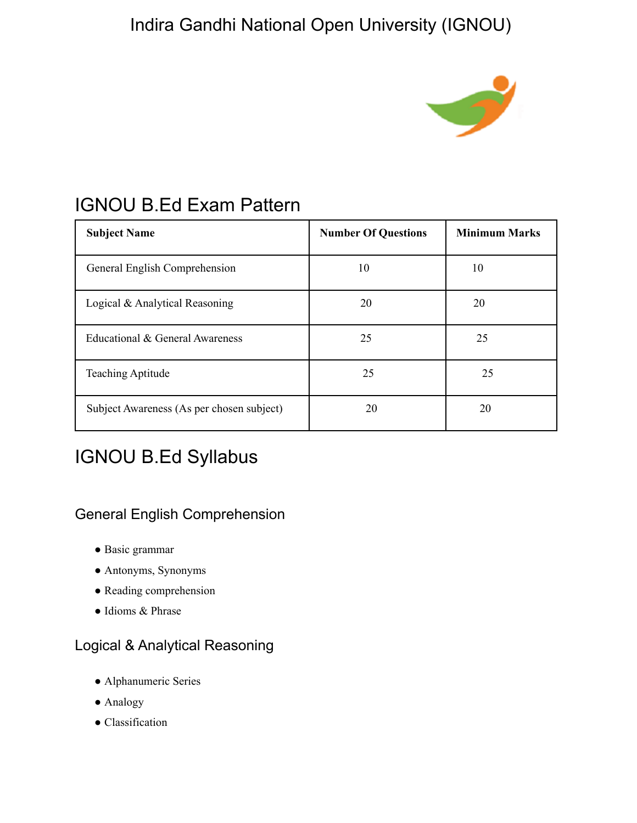# Indira Gandhi National Open University (IGNOU)



# IGNOU B.Ed Exam Pattern

| <b>Subject Name</b>                       | <b>Number Of Questions</b> | <b>Minimum Marks</b> |
|-------------------------------------------|----------------------------|----------------------|
| General English Comprehension             | 10                         | 10                   |
| Logical & Analytical Reasoning            | 20                         | 20                   |
| Educational & General Awareness           | 25                         | 25                   |
| <b>Teaching Aptitude</b>                  | 25                         | 25                   |
| Subject Awareness (As per chosen subject) | 20                         | 20                   |

# IGNOU B.Ed Syllabus

### General English Comprehension

- Basic grammar
- Antonyms, Synonyms
- Reading comprehension
- Idioms & Phrase

### Logical & Analytical Reasoning

- Alphanumeric Series
- Analogy
- Classification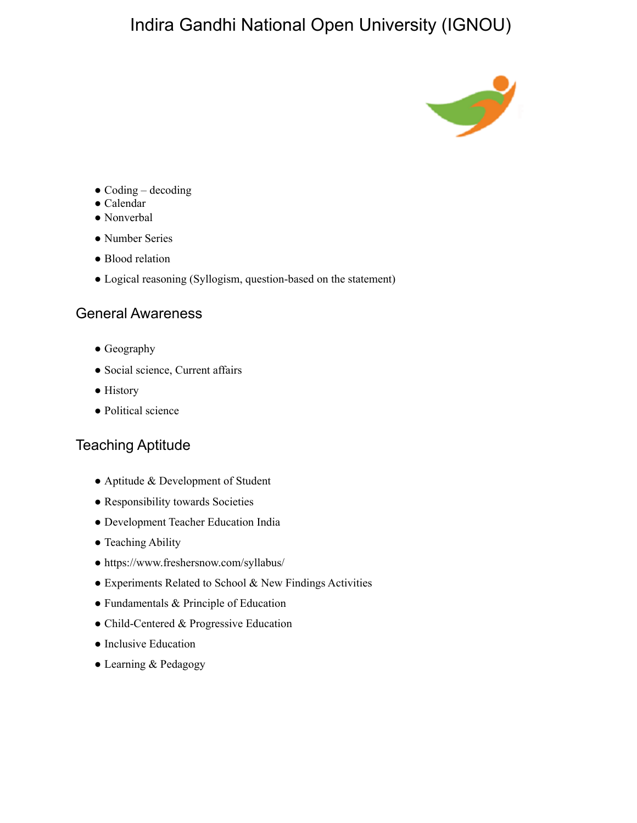## Indira Gandhi National Open University (IGNOU)



- $\bullet$  Coding decoding
- Calendar
- Nonverbal
- Number Series
- Blood relation
- Logical reasoning (Syllogism, question-based on the statement)

#### General Awareness

- Geography
- Social science, Current affairs
- History
- Political science

### Teaching Aptitude

- Aptitude & Development of Student
- Responsibility towards Societies
- Development Teacher Education India
- Teaching Ability
- https://www.freshersnow.com/syllabus/
- Experiments Related to School & New Findings Activities
- Fundamentals & Principle of Education
- Child-Centered & Progressive Education
- Inclusive Education
- Learning & Pedagogy